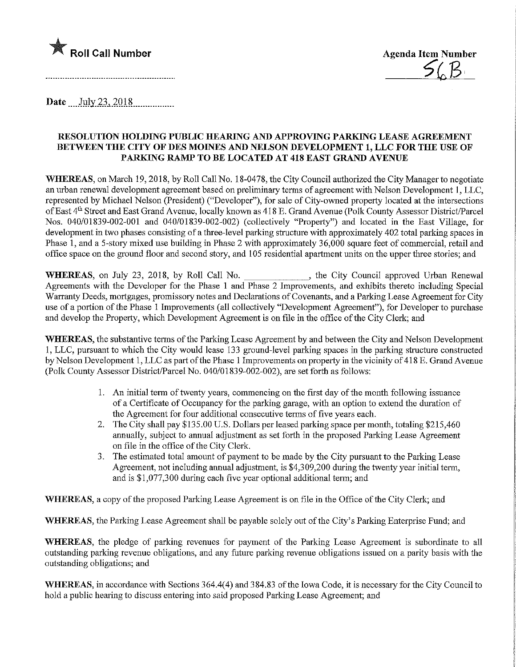

**Agenda Item Number** 

Date July 23, 2018.

## RESOLUTION HOLDING PUBLIC HEARING AND APPROVING PARKING LEASE AGREEMENT BETWEEN THE CITY OF DES MOINES AND NELSON DEVELOPMENT 1, LLC FOR THE USE OF PARKING RAMP TO BE LOCATED AT 418 EAST GRAND AVENUE

WHEREAS, on March 19, 2018, by Roll Call No. 18-0478, the City Council authorized the City Manager to negotiate an urban renewal development agreement based on preliminary terms of agreement with Nelson Development 1 , LLC, represented by Michael Nelson (President) ("Developer"), for sale of City-owned property located at the intersections of East 4th Street and East Grand Avenue, locally known as 418 E. Grand Avenue (Polk County Assessor District/Parcel Nos. 040/01839-002-001 and 040/01839-002-002) (collectively "Property") and located in the East Village, for development in two phases consisting of a three-level parking structure with approximately 402 total parking spaces in Phase 1, and a 5-story mixed use building in Phase 2 with approximately 36,000 square feet of commercial, retail and office space on the ground floor and second story, and 105 residential apartment units on the upper three stories; and

WHEREAS, on July 23, 2018, by Roll Call No. \_\_\_\_\_\_\_\_\_\_\_\_\_, the City Council approved Urban Renewa Agreements with the Developer for the Phase 1 and Phase 2 Improvements, and exhibits thereto including Special Warranty Deeds, mortgages, promissory notes and Declarations of Covenants, and a Parking Lease Agreement for City use of a portion of the Phase 1 Improvements (all collectively "Development Agreement"), for Developer to purchase and develop the Property, which Development Agreement is on file in the office of the City Clerk; and

WHEREAS, the substantive terms of the Parking Lease Agreement by and between the City and Nelson Development 1, LLC, pursuant to which the City would lease 133 ground-level parking spaces in the parking structure constructed by Nelson Development 1, LLC as part of the Phase 1 Improvements on property in the vicinity of 418 E. Grand Avenue (Polk County Assessor District/Parcel No. 040/01839-002-002), are set forth as follows:

- 1. An initial term of twenty years, commencing on the first day of the month followmg issuance of a Certificate of Occupancy for the parking garage, with an option to extend the duration of the Agreement for four additional consecutive terms of five years each.
- 2. The City shall pay \$135.00 U.S. Dollars per leased parking space per month, totaling \$215,460 annually, subject to annual adjustment as set forth in the proposed Parking Lease Agreement on file in the office of the City Clerk.
- 3. The estimated total amount of payment to be made by the City pursuant to the Parking Lease Agreement, not including annual adjustment, is \$4,3 09,200 during the twenty year initial term, and is \$ 1,077,300 during each five year optional additional term; and

WHEREAS, a copy of the proposed Parking Lease Agreement is on file in the Office of the City Clerk; and

WHEREAS, the Parking Lease Agreement shall be payable solely out of the City's Parking Enterprise Fund; and

WHEREAS, the pledge of parking revenues for payment of the Parking Lease Agreement is subordinate to all outstandmg parking revenue obligations, and any future parking revenue obligations issued on a parity basis with the outstanding obligations; and

WHEREAS, in accordance with Sections 364.4(4) and 3 84.83 of the Iowa Code, it is necessary for the City Council to hold a public hearing to discuss entering into said proposed Parking Lease Agreement; and